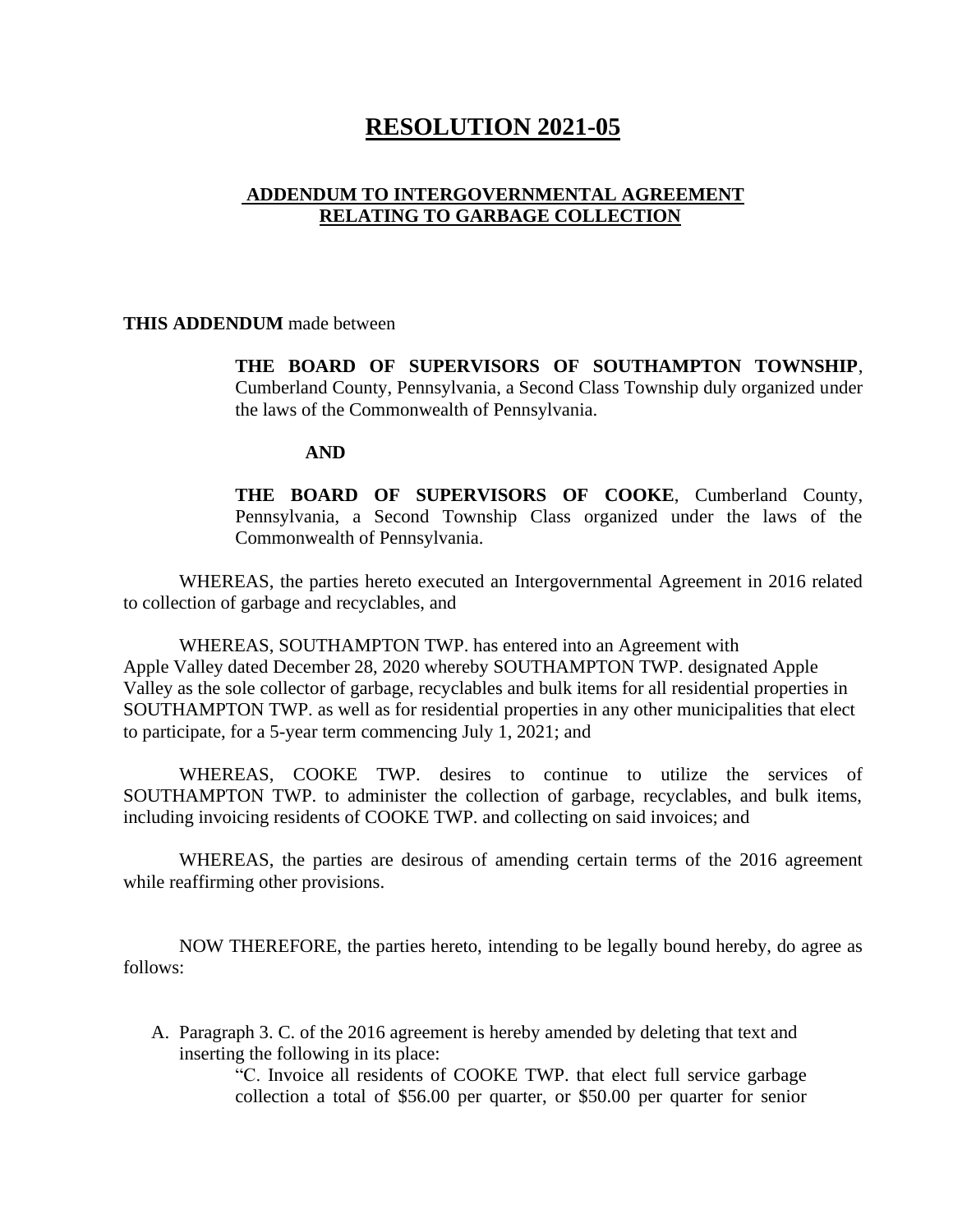## **RESOLUTION 2021-05**

## **ADDENDUM TO INTERGOVERNMENTAL AGREEMENT RELATING TO GARBAGE COLLECTION**

**THIS ADDENDUM** made between

**THE BOARD OF SUPERVISORS OF SOUTHAMPTON TOWNSHIP**, Cumberland County, Pennsylvania, a Second Class Township duly organized under the laws of the Commonwealth of Pennsylvania.

## **AND**

**THE BOARD OF SUPERVISORS OF COOKE**, Cumberland County, Pennsylvania, a Second Township Class organized under the laws of the Commonwealth of Pennsylvania.

WHEREAS, the parties hereto executed an Intergovernmental Agreement in 2016 related to collection of garbage and recyclables, and

WHEREAS, SOUTHAMPTON TWP. has entered into an Agreement with Apple Valley dated December 28, 2020 whereby SOUTHAMPTON TWP. designated Apple Valley as the sole collector of garbage, recyclables and bulk items for all residential properties in SOUTHAMPTON TWP. as well as for residential properties in any other municipalities that elect to participate, for a 5-year term commencing July 1, 2021; and

WHEREAS, COOKE TWP. desires to continue to utilize the services of SOUTHAMPTON TWP. to administer the collection of garbage, recyclables, and bulk items, including invoicing residents of COOKE TWP. and collecting on said invoices; and

WHEREAS, the parties are desirous of amending certain terms of the 2016 agreement while reaffirming other provisions.

NOW THEREFORE, the parties hereto, intending to be legally bound hereby, do agree as follows:

A. Paragraph 3. C. of the 2016 agreement is hereby amended by deleting that text and inserting the following in its place:

> "C. Invoice all residents of COOKE TWP. that elect full service garbage collection a total of \$56.00 per quarter, or \$50.00 per quarter for senior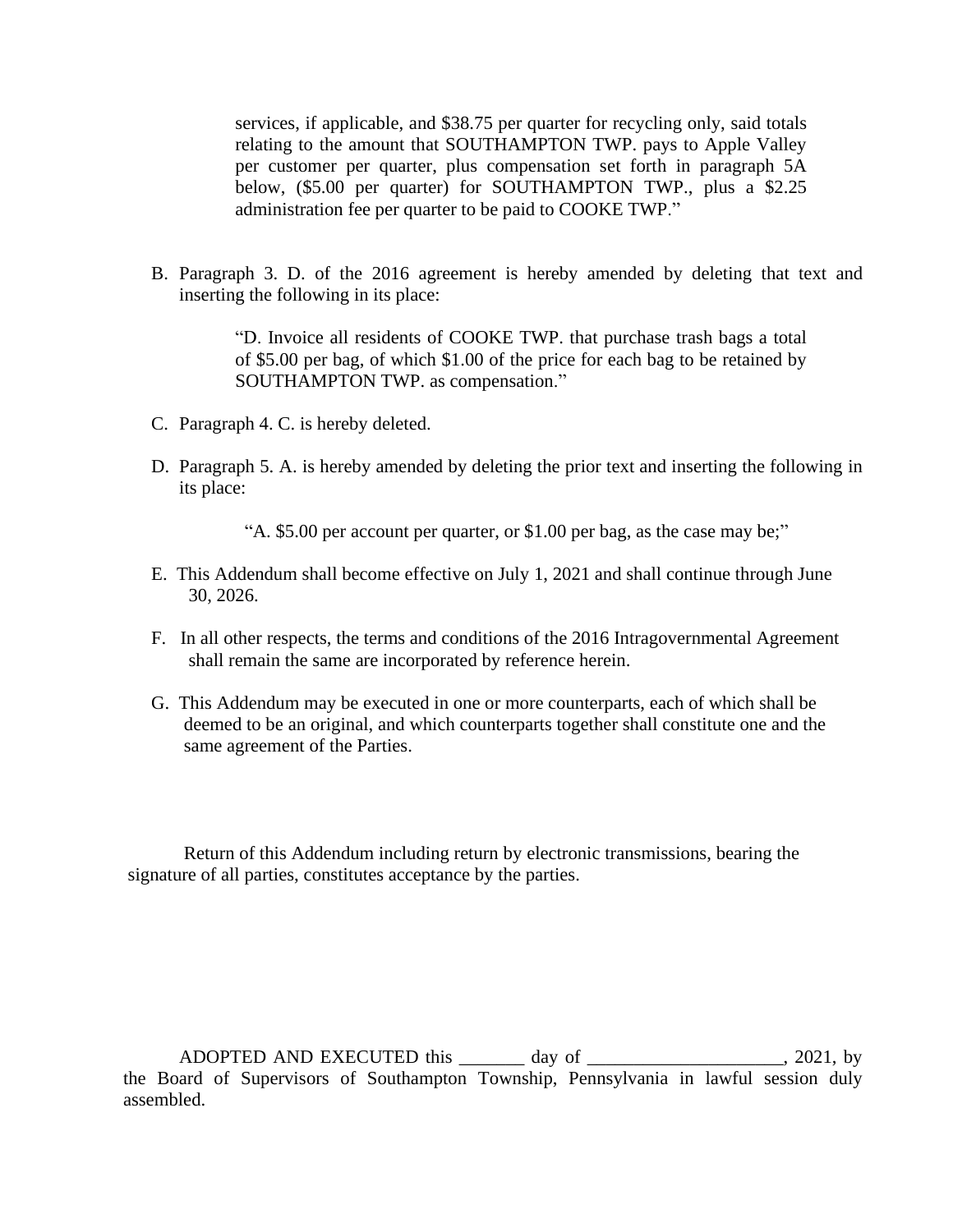services, if applicable, and \$38.75 per quarter for recycling only, said totals relating to the amount that SOUTHAMPTON TWP. pays to Apple Valley per customer per quarter, plus compensation set forth in paragraph 5A below, (\$5.00 per quarter) for SOUTHAMPTON TWP., plus a \$2.25 administration fee per quarter to be paid to COOKE TWP."

B. Paragraph 3. D. of the 2016 agreement is hereby amended by deleting that text and inserting the following in its place:

> "D. Invoice all residents of COOKE TWP. that purchase trash bags a total of \$5.00 per bag, of which \$1.00 of the price for each bag to be retained by SOUTHAMPTON TWP. as compensation."

- C. Paragraph 4. C. is hereby deleted.
- D. Paragraph 5. A. is hereby amended by deleting the prior text and inserting the following in its place:

"A. \$5.00 per account per quarter, or \$1.00 per bag, as the case may be;"

- E. This Addendum shall become effective on July 1, 2021 and shall continue through June 30, 2026.
- F. In all other respects, the terms and conditions of the 2016 Intragovernmental Agreement shall remain the same are incorporated by reference herein.
- G. This Addendum may be executed in one or more counterparts, each of which shall be deemed to be an original, and which counterparts together shall constitute one and the same agreement of the Parties.

 Return of this Addendum including return by electronic transmissions, bearing the signature of all parties, constitutes acceptance by the parties.

ADOPTED AND EXECUTED this \_\_\_\_\_\_\_ day of \_\_\_\_\_\_\_\_\_\_\_\_\_\_\_\_\_\_\_, 2021, by the Board of Supervisors of Southampton Township, Pennsylvania in lawful session duly assembled.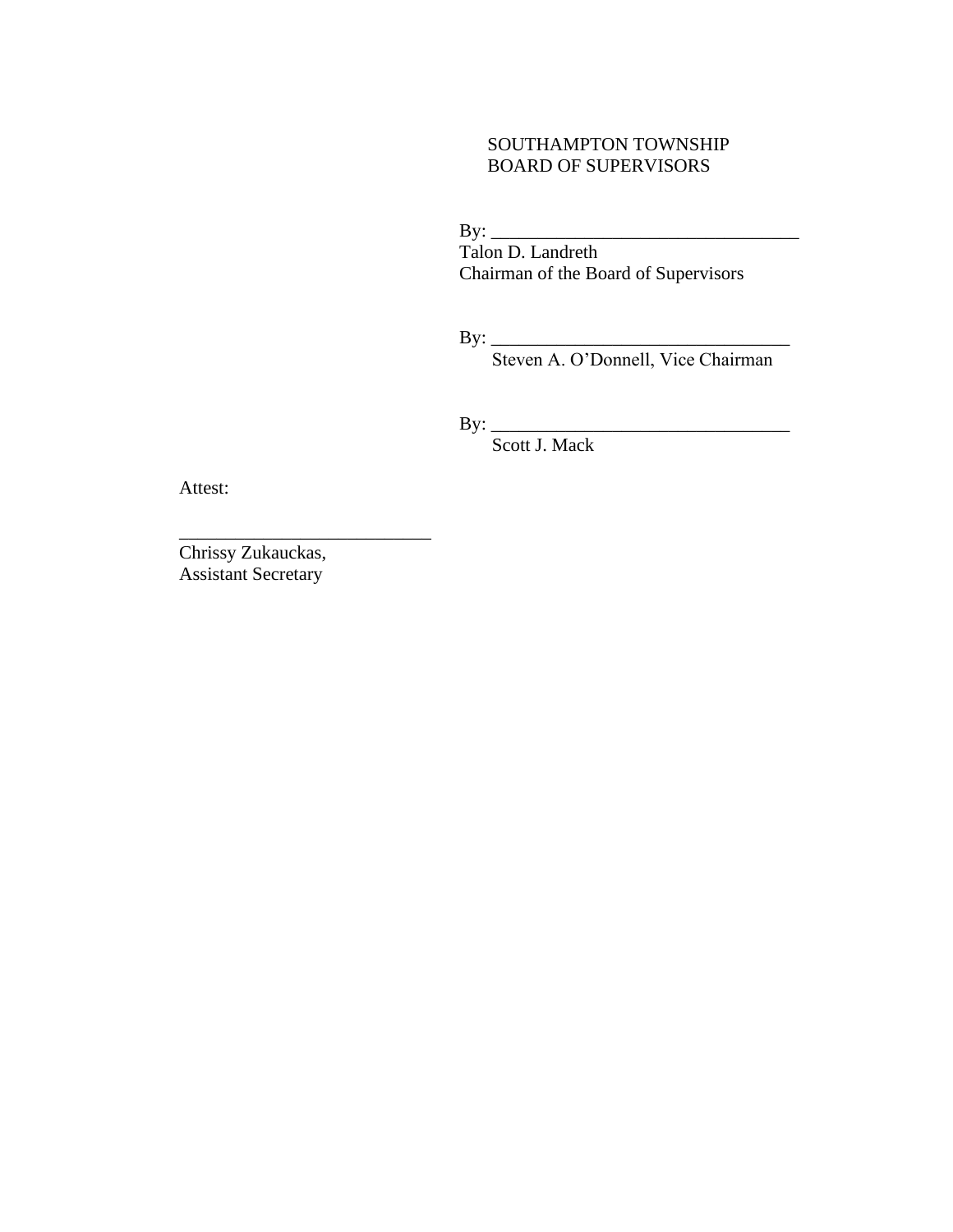## SOUTHAMPTON TOWNSHIP BOARD OF SUPERVISORS

By: \_\_\_\_\_\_\_\_\_\_\_\_\_\_\_\_\_\_\_\_\_\_\_\_\_\_\_\_\_\_\_\_\_ Talon D. Landreth Chairman of the Board of Supervisors

By: \_\_\_\_\_\_\_\_\_\_\_\_\_\_\_\_\_\_\_\_\_\_\_\_\_\_\_\_\_\_\_\_

Steven A. O'Donnell, Vice Chairman

By: \_\_\_\_\_\_\_\_\_\_\_\_\_\_\_\_\_\_\_\_\_\_\_\_\_\_\_\_\_\_\_\_

Scott J. Mack

Attest:

Chrissy Zukauckas, Assistant Secretary

\_\_\_\_\_\_\_\_\_\_\_\_\_\_\_\_\_\_\_\_\_\_\_\_\_\_\_